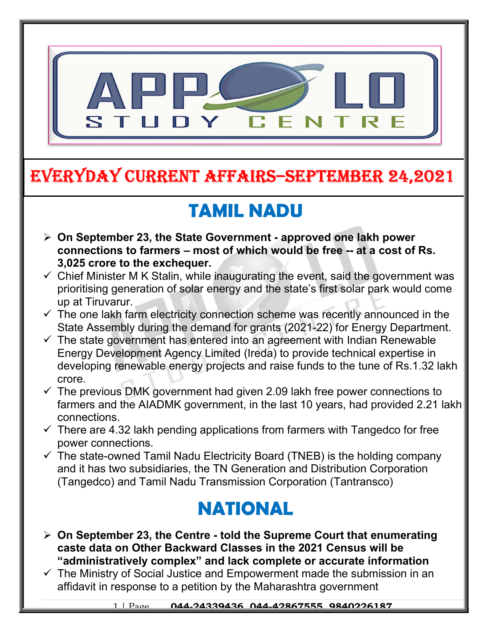

#### EVERYDAY CURRENT AFFAIRS–SEpTEmbER 24,2021

-

# TAMIL NADU

- $\triangleright$  On September 23, the State Government approved one lakh power connections to farmers – most of which would be free -- at a cost of Rs. 3,025 crore to the exchequer.
- $\checkmark$  Chief Minister M K Stalin, while inaugurating the event, said the government was prioritising generation of solar energy and the state's first solar park would come up at Tiruvarur.
- $\checkmark$  The one lakh farm electricity connection scheme was recently announced in the State Assembly during the demand for grants (2021-22) for Energy Department.
- $\checkmark$  The state government has entered into an agreement with Indian Renewable Energy Development Agency Limited (Ireda) to provide technical expertise in developing renewable energy projects and raise funds to the tune of Rs.1.32 lakh crore.
- $\checkmark$  The previous DMK government had given 2.09 lakh free power connections to farmers and the AIADMK government, in the last 10 years, had provided 2.21 lakh connections.
- $\checkmark$  There are 4.32 lakh pending applications from farmers with Tangedco for free power connections.
- $\checkmark$  The state-owned Tamil Nadu Electricity Board (TNEB) is the holding company and it has two subsidiaries, the TN Generation and Distribution Corporation (Tangedco) and Tamil Nadu Transmission Corporation (Tantransco)

### NATIONAL

- $\triangleright$  On September 23, the Centre told the Supreme Court that enumerating caste data on Other Backward Classes in the 2021 Census will be "administratively complex" and lack complete or accurate information
- $\checkmark$  The Ministry of Social Justice and Empowerment made the submission in an affidavit in response to a petition by the Maharashtra government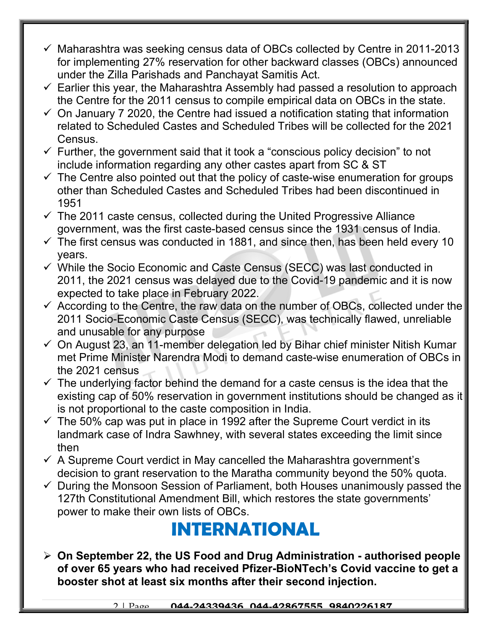- $\checkmark$  Maharashtra was seeking census data of OBCs collected by Centre in 2011-2013 for implementing 27% reservation for other backward classes (OBCs) announced under the Zilla Parishads and Panchayat Samitis Act.
- $\checkmark$  Earlier this year, the Maharashtra Assembly had passed a resolution to approach the Centre for the 2011 census to compile empirical data on OBCs in the state.
- $\checkmark$  On January 7 2020, the Centre had issued a notification stating that information related to Scheduled Castes and Scheduled Tribes will be collected for the 2021 Census.
- $\checkmark$  Further, the government said that it took a "conscious policy decision" to not include information regarding any other castes apart from SC & ST
- $\checkmark$  The Centre also pointed out that the policy of caste-wise enumeration for groups other than Scheduled Castes and Scheduled Tribes had been discontinued in 1951
- $\checkmark$  The 2011 caste census, collected during the United Progressive Alliance government, was the first caste-based census since the 1931 census of India.
- $\checkmark$  The first census was conducted in 1881, and since then, has been held every 10 years.
- $\checkmark$  While the Socio Economic and Caste Census (SECC) was last conducted in 2011, the 2021 census was delayed due to the Covid-19 pandemic and it is now expected to take place in February 2022.
- $\checkmark$  According to the Centre, the raw data on the number of OBCs, collected under the 2011 Socio-Economic Caste Census (SECC), was technically flawed, unreliable and unusable for any purpose
- $\checkmark$  On August 23, an 11-member delegation led by Bihar chief minister Nitish Kumar met Prime Minister Narendra Modi to demand caste-wise enumeration of OBCs in the 2021 census
- $\checkmark$  The underlying factor behind the demand for a caste census is the idea that the existing cap of 50% reservation in government institutions should be changed as it is not proportional to the caste composition in India.
- $\checkmark$  The 50% cap was put in place in 1992 after the Supreme Court verdict in its landmark case of Indra Sawhney, with several states exceeding the limit since then
- $\checkmark$  A Supreme Court verdict in May cancelled the Maharashtra government's decision to grant reservation to the Maratha community beyond the 50% quota.
- $\checkmark$  During the Monsoon Session of Parliament, both Houses unanimously passed the 127th Constitutional Amendment Bill, which restores the state governments' power to make their own lists of OBCs.

## INTERNATIONAL

 $\geq$  On September 22, the US Food and Drug Administration - authorised people of over 65 years who had received Pfizer-BioNTech's Covid vaccine to get a booster shot at least six months after their second injection.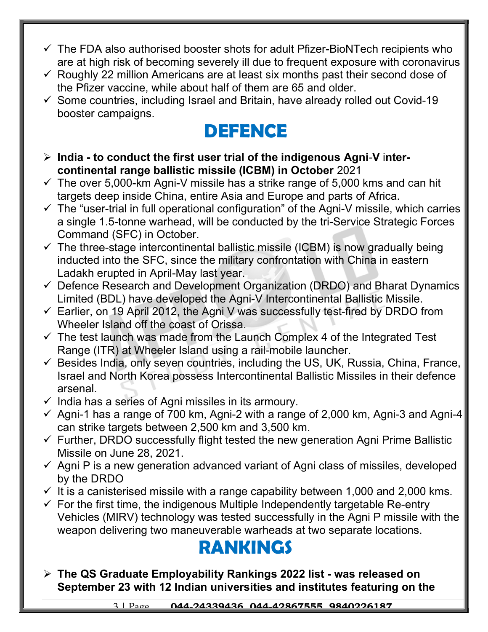- $\checkmark$  The FDA also authorised booster shots for adult Pfizer-BioNTech recipients who are at high risk of becoming severely ill due to frequent exposure with coronavirus
- $\checkmark$  Roughly 22 million Americans are at least six months past their second dose of the Pfizer vaccine, while about half of them are 65 and older.
- $\checkmark$  Some countries, including Israel and Britain, have already rolled out Covid-19 booster campaigns.

#### DEFENCE

- $\triangleright$  India to conduct the first user trial of the indigenous Agni-V intercontinental range ballistic missile (ICBM) in October 2021
- $\checkmark$  The over 5,000-km Agni-V missile has a strike range of 5,000 kms and can hit targets deep inside China, entire Asia and Europe and parts of Africa.
- $\checkmark$  The "user-trial in full operational configuration" of the Agni-V missile, which carries a single 1.5-tonne warhead, will be conducted by the tri-Service Strategic Forces Command (SFC) in October.
- $\checkmark$  The three-stage intercontinental ballistic missile (ICBM) is now gradually being inducted into the SFC, since the military confrontation with China in eastern Ladakh erupted in April-May last year.
- $\checkmark$  Defence Research and Development Organization (DRDO) and Bharat Dynamics Limited (BDL) have developed the Agni-V Intercontinental Ballistic Missile.
- $\checkmark$  Earlier, on 19 April 2012, the Agni V was successfully test-fired by DRDO from Wheeler Island off the coast of Orissa.
- $\checkmark$  The test launch was made from the Launch Complex 4 of the Integrated Test Range (ITR) at Wheeler Island using a rail-mobile launcher.
- $\checkmark$  Besides India, only seven countries, including the US, UK, Russia, China, France, Israel and North Korea possess Intercontinental Ballistic Missiles in their defence arsenal.
- $\checkmark$  India has a series of Agni missiles in its armoury.
- $\checkmark$  Agni-1 has a range of 700 km, Agni-2 with a range of 2,000 km, Agni-3 and Agni-4 can strike targets between 2,500 km and 3,500 km.
- $\checkmark$  Further, DRDO successfully flight tested the new generation Agni Prime Ballistic Missile on June 28, 2021.
- $\checkmark$  Agni P is a new generation advanced variant of Agni class of missiles, developed by the DRDO
- $\checkmark$  It is a canisterised missile with a range capability between 1,000 and 2,000 kms.
- $\checkmark$  For the first time, the indigenous Multiple Independently targetable Re-entry Vehicles (MIRV) technology was tested successfully in the Agni P missile with the weapon delivering two maneuverable warheads at two separate locations.

# RANKINGS

 The QS Graduate Employability Rankings 2022 list - was released on September 23 with 12 Indian universities and institutes featuring on the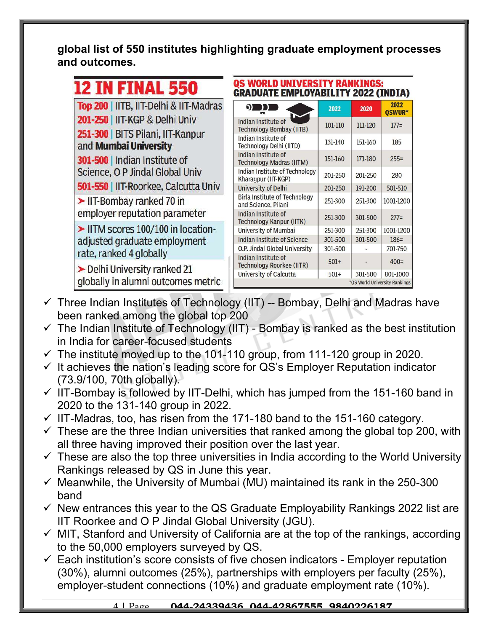global list of 550 institutes highlighting graduate employment processes and outcomes.

| <b>AI</b><br><b>THEL</b><br><b>Service</b> |
|--------------------------------------------|
|--------------------------------------------|

Top 200 | IITB, IIT-Delhi & IIT-Madras 201-250 | IIT-KGP & Delhi Univ 251-300 | BITS Pilani, IIT-Kanpur and Mumbai University

301-500 | Indian Institute of Science, O P Jindal Global Univ

501-550 | IIT-Roorkee, Calcutta Univ

 $\blacktriangleright$  IIT-Bombay ranked 70 in employer reputation parameter

IITM scores 100/100 in locationadjusted graduate employment rate, ranked 4 globally

Delhi University ranked 21 globally in alumni outcomes metric

| QS WORLD UNIVERSITY RANKINGS:<br><b>GRADUATE EMPLOYABILITY 2022 (INDIA)</b> |         |         |                |  |
|-----------------------------------------------------------------------------|---------|---------|----------------|--|
| $\Omega$                                                                    | 2022    | 2020    | 2022<br>OSWUR* |  |
| <b>Indian Institute of</b><br><b>Technology Bombay (IITB)</b>               | 101-110 | 111-120 | $177=$         |  |
| Indian Institute of<br>Technology Delhi (IITD)                              | 131-140 | 151-160 | 185            |  |
| Indian Institute of<br><b>Technology Madras (IITM)</b>                      | 151-160 | 171-180 | $255=$         |  |
| Indian Institute of Technology<br>Kharagpur (IIT-KGP)                       | 201-250 | 201-250 | 280            |  |
| <b>University of Delhi</b>                                                  | 201-250 | 191-200 | 501-510        |  |
| Birla Institute of Technology<br>and Science, Pilani                        | 251-300 | 251-300 | 1001-1200      |  |
| Indian Institute of<br><b>Technology Kanpur (IITK)</b>                      | 251-300 | 301-500 | $277=$         |  |
| University of Mumbai                                                        | 251-300 | 251-300 | 1001-1200      |  |
| <b>Indian Institute of Science</b>                                          | 301-500 | 301-500 | $186 =$        |  |
| O.P. Jindal Global University                                               | 301-500 |         | 701-750        |  |
| Indian Institute of<br>Technology Roorkee (IITR)                            | $501+$  |         | $400=$         |  |
| University of Calcutta                                                      | $501+$  | 301-500 | 801-1000       |  |
| *OS World University Rankings                                               |         |         |                |  |

- $\checkmark$  Three Indian Institutes of Technology (IIT) -- Bombay, Delhi and Madras have been ranked among the global top 200
- $\checkmark$  The Indian Institute of Technology (IIT) Bombay is ranked as the best institution in India for career-focused students
- $\checkmark$  The institute moved up to the 101-110 group, from 111-120 group in 2020.
- $\checkmark$  It achieves the nation's leading score for QS's Employer Reputation indicator (73.9/100, 70th globally).
- $\checkmark$  IIT-Bombay is followed by IIT-Delhi, which has jumped from the 151-160 band in 2020 to the 131-140 group in 2022.
- $\checkmark$  IIT-Madras, too, has risen from the 171-180 band to the 151-160 category.
- $\checkmark$  These are the three Indian universities that ranked among the global top 200, with all three having improved their position over the last year.
- $\checkmark$  These are also the top three universities in India according to the World University Rankings released by QS in June this year.
- $\checkmark$  Meanwhile, the University of Mumbai (MU) maintained its rank in the 250-300 band
- $\checkmark$  New entrances this year to the QS Graduate Employability Rankings 2022 list are IIT Roorkee and O P Jindal Global University (JGU).
- $\checkmark$  MIT, Stanford and University of California are at the top of the rankings, according to the 50,000 employers surveyed by QS.
- $\checkmark$  Each institution's score consists of five chosen indicators Employer reputation (30%), alumni outcomes (25%), partnerships with employers per faculty (25%), employer-student connections (10%) and graduate employment rate (10%).